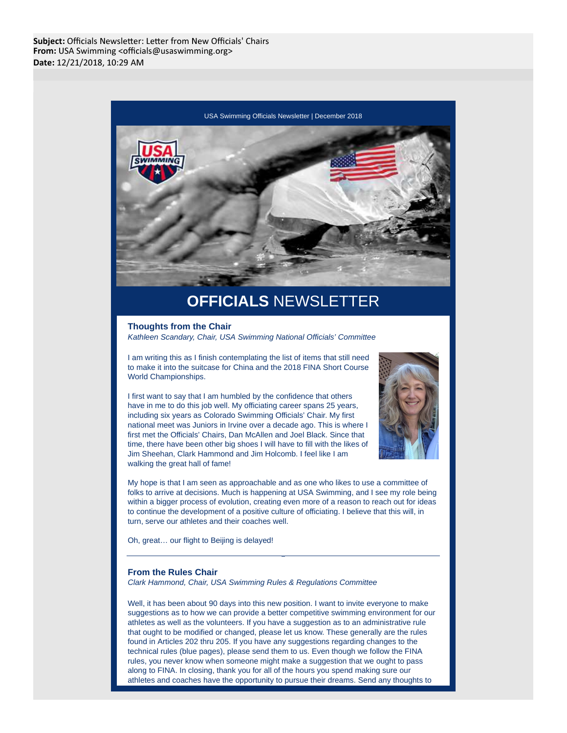

# **OFFICIALS** NEWSLETTER

#### **Thoughts from the Chair**

Kathleen Scandary, Chair, USA Swimming National Officials' Committee

I am writing this as I finish contemplating the list of items that still need to make it into the suitcase for China and the 2018 FINA Short Course World Championships.

I first want to say that I am humbled by the confidence that others have in me to do this job well. My officiating career spans 25 years, including six years as Colorado Swimming Officials' Chair. My first national meet was Juniors in Irvine over a decade ago. This is where I first met the Officials' Chairs, Dan McAllen and Joel Black. Since that time, there have been other big shoes I will have to fill with the likes of Jim Sheehan, Clark Hammond and Jim Holcomb. I feel like I am walking the great hall of fame!



My hope is that I am seen as approachable and as one who likes to use a committee of folks to arrive at decisions. Much is happening at USA Swimming, and I see my role being within a bigger process of evolution, creating even more of a reason to reach out for ideas to continue the development of a positive culture of officiating. I believe that this will, in turn, serve our athletes and their coaches well.

Oh, great… our flight to Beijing is delayed!

## **From the Rules Chair**

Clark Hammond, Chair, USA Swimming Rules & Regulations Committee

Well, it has been about 90 days into this new position. I want to invite everyone to make suggestions as to how we can provide a better competitive swimming environment for our athletes as well as the volunteers. If you have a suggestion as to an administrative rule that ought to be modified or changed, please let us know. These generally are the rules found in Articles 202 thru 205. If you have any suggestions regarding changes to the technical rules (blue pages), please send them to us. Even though we follow the FINA rules, you never know when someone might make a suggestion that we ought to pass along to FINA. In closing, thank you for all of the hours you spend making sure our athletes and coaches have the opportunity to pursue their dreams. Send any thoughts to